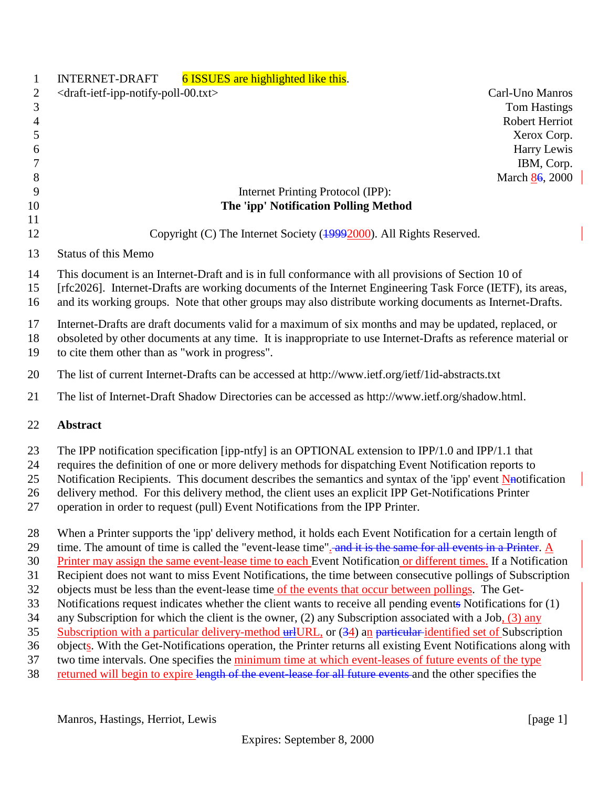| $\mathbf{1}$   | <b>INTERNET-DRAFT</b><br>6 ISSUES are highlighted like this.                                                               |
|----------------|----------------------------------------------------------------------------------------------------------------------------|
| 2              | <draft-ietf-ipp-notify-poll-00.txt><br/>Carl-Uno Manros</draft-ietf-ipp-notify-poll-00.txt>                                |
| 3              | <b>Tom Hastings</b>                                                                                                        |
| $\overline{4}$ | <b>Robert Herriot</b>                                                                                                      |
| 5              | Xerox Corp.                                                                                                                |
| 6              | Harry Lewis                                                                                                                |
| 7              | IBM, Corp.                                                                                                                 |
| 8              | March 86, 2000                                                                                                             |
| 9              | Internet Printing Protocol (IPP):                                                                                          |
| 10             | The 'ipp' Notification Polling Method                                                                                      |
| 11<br>12       | Copyright (C) The Internet Society (19992000). All Rights Reserved.                                                        |
| 13             | <b>Status of this Memo</b>                                                                                                 |
| 14             | This document is an Internet-Draft and is in full conformance with all provisions of Section 10 of                         |
| 15             | [rfc2026]. Internet-Drafts are working documents of the Internet Engineering Task Force (IETF), its areas,                 |
| 16             | and its working groups. Note that other groups may also distribute working documents as Internet-Drafts.                   |
| 17             | Internet-Drafts are draft documents valid for a maximum of six months and may be updated, replaced, or                     |
| 18             | obsoleted by other documents at any time. It is inappropriate to use Internet-Drafts as reference material or              |
| 19             | to cite them other than as "work in progress".                                                                             |
| 20             | The list of current Internet-Drafts can be accessed at http://www.ietf.org/ietf/1id-abstracts.txt                          |
| 21             | The list of Internet-Draft Shadow Directories can be accessed as http://www.ietf.org/shadow.html.                          |
| 22             | <b>Abstract</b>                                                                                                            |
| 23             | The IPP notification specification [ipp-ntfy] is an OPTIONAL extension to IPP/1.0 and IPP/1.1 that                         |
| 24             | requires the definition of one or more delivery methods for dispatching Event Notification reports to                      |
| 25             | Notification Recipients. This document describes the semantics and syntax of the 'ipp' event $\frac{N}{N}$ notification    |
| 26             | delivery method. For this delivery method, the client uses an explicit IPP Get-Notifications Printer                       |
| 27             | operation in order to request (pull) Event Notifications from the IPP Printer.                                             |
| 28             | When a Printer supports the 'ipp' delivery method, it holds each Event Notification for a certain length of                |
| 29             | time. The amount of time is called the "event-lease time". and it is the same for all events in a Printer. $\underline{A}$ |
| 30             | Printer may assign the same event-lease time to each Event Notification or different times. If a Notification              |
| 31             | Recipient does not want to miss Event Notifications, the time between consecutive pollings of Subscription                 |
| 32             | objects must be less than the event-lease time of the events that occur between pollings. The Get-                         |
| 33             | Notifications request indicates whether the client wants to receive all pending events Notifications for (1)               |
| 34             | any Subscription for which the client is the owner, (2) any Subscription associated with a Job, $(3)$ any                  |
| 35             | Subscription with a particular delivery-method university or (34) an particular identified set of Subscription             |
| 36             | objects. With the Get-Notifications operation, the Printer returns all existing Event Notifications along with             |
| 37             | two time intervals. One specifies the minimum time at which event-leases of future events of the type                      |
| 38             | returned will begin to expire length of the event-lease for all future events and the other specifies the                  |
|                |                                                                                                                            |

Manros, Hastings, Herriot, Lewis [page 1]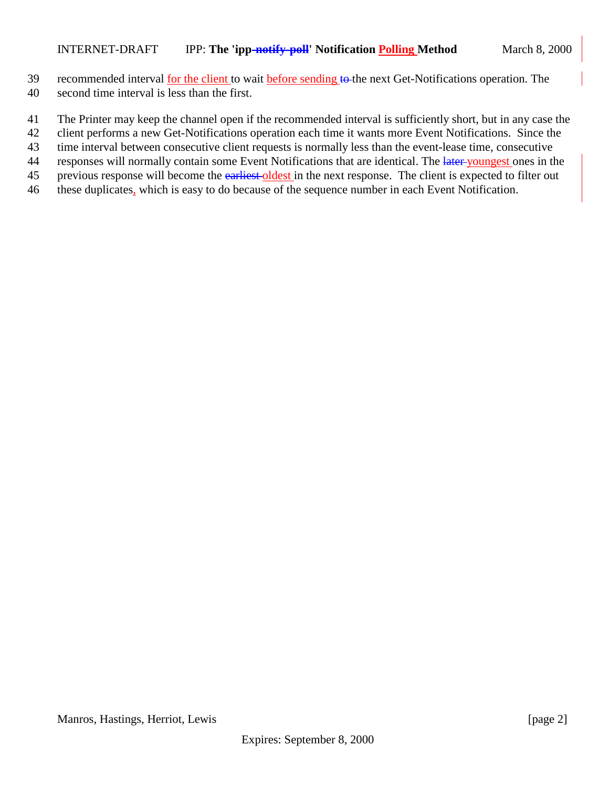- 39 recommended interval for the client to wait before sending to the next Get-Notifications operation. The
- 40 second time interval is less than the first.
- 41 The Printer may keep the channel open if the recommended interval is sufficiently short, but in any case the
- 42 client performs a new Get-Notifications operation each time it wants more Event Notifications. Since the
- 43 time interval between consecutive client requests is normally less than the event-lease time, consecutive
- 44 responses will normally contain some Event Notifications that are identical. The later youngest ones in the
- 45 previous response will become the earliest oldest in the next response. The client is expected to filter out
- 46 these duplicates, which is easy to do because of the sequence number in each Event Notification.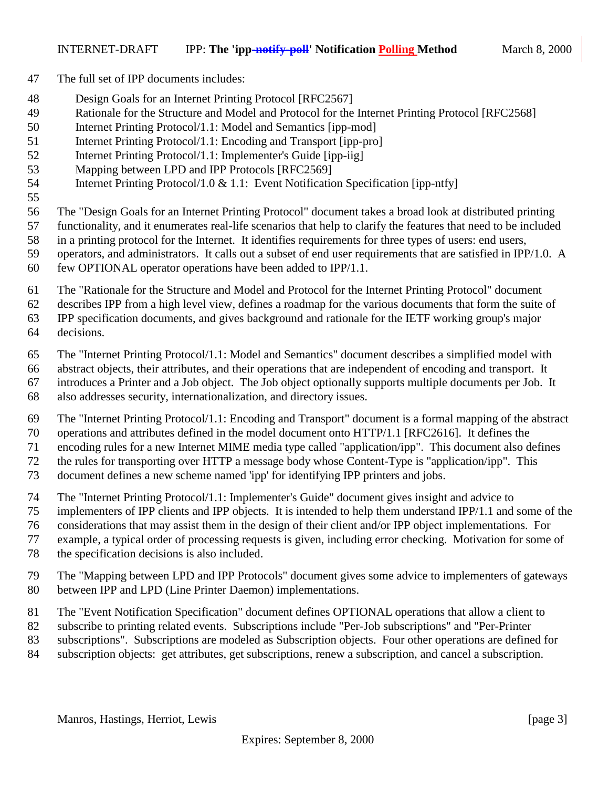- The full set of IPP documents includes:
- Design Goals for an Internet Printing Protocol [RFC2567]
- Rationale for the Structure and Model and Protocol for the Internet Printing Protocol [RFC2568]
- Internet Printing Protocol/1.1: Model and Semantics [ipp-mod]
- Internet Printing Protocol/1.1: Encoding and Transport [ipp-pro]
- Internet Printing Protocol/1.1: Implementer's Guide [ipp-iig]
- Mapping between LPD and IPP Protocols [RFC2569]
- Internet Printing Protocol/1.0 & 1.1: Event Notification Specification [ipp-ntfy]
- 

The "Design Goals for an Internet Printing Protocol" document takes a broad look at distributed printing

- functionality, and it enumerates real-life scenarios that help to clarify the features that need to be included
- in a printing protocol for the Internet. It identifies requirements for three types of users: end users,
- operators, and administrators. It calls out a subset of end user requirements that are satisfied in IPP/1.0. A few OPTIONAL operator operations have been added to IPP/1.1.
- The "Rationale for the Structure and Model and Protocol for the Internet Printing Protocol" document
- describes IPP from a high level view, defines a roadmap for the various documents that form the suite of

IPP specification documents, and gives background and rationale for the IETF working group's major

- decisions.
- The "Internet Printing Protocol/1.1: Model and Semantics" document describes a simplified model with
- abstract objects, their attributes, and their operations that are independent of encoding and transport. It
- introduces a Printer and a Job object. The Job object optionally supports multiple documents per Job. It
- also addresses security, internationalization, and directory issues.
- The "Internet Printing Protocol/1.1: Encoding and Transport" document is a formal mapping of the abstract operations and attributes defined in the model document onto HTTP/1.1 [RFC2616]. It defines the
- 
- encoding rules for a new Internet MIME media type called "application/ipp". This document also defines the rules for transporting over HTTP a message body whose Content-Type is "application/ipp". This
- document defines a new scheme named 'ipp' for identifying IPP printers and jobs.
- The "Internet Printing Protocol/1.1: Implementer's Guide" document gives insight and advice to
- implementers of IPP clients and IPP objects. It is intended to help them understand IPP/1.1 and some of the
- considerations that may assist them in the design of their client and/or IPP object implementations. For
- example, a typical order of processing requests is given, including error checking. Motivation for some of
- the specification decisions is also included.
- The "Mapping between LPD and IPP Protocols" document gives some advice to implementers of gateways between IPP and LPD (Line Printer Daemon) implementations.
- The "Event Notification Specification" document defines OPTIONAL operations that allow a client to
- subscribe to printing related events. Subscriptions include "Per-Job subscriptions" and "Per-Printer
- subscriptions". Subscriptions are modeled as Subscription objects. Four other operations are defined for
- subscription objects: get attributes, get subscriptions, renew a subscription, and cancel a subscription.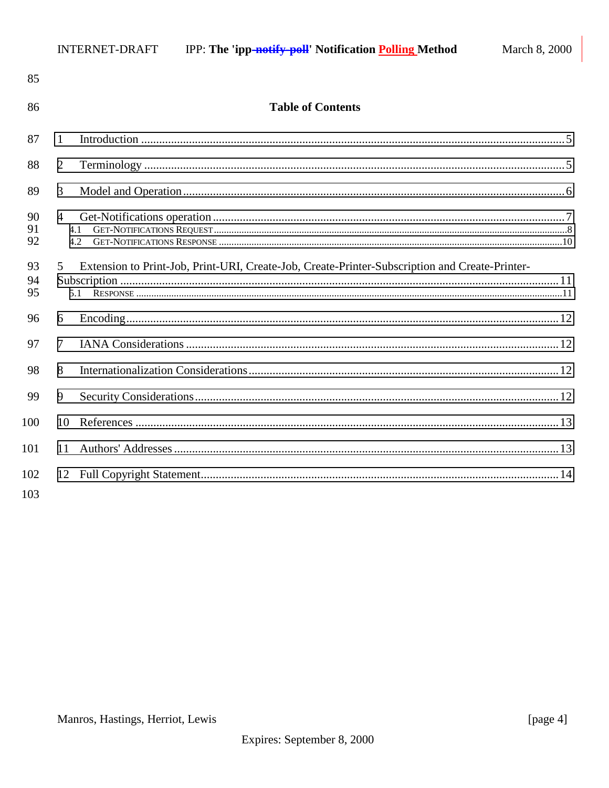| 85             |                                                                                                            |  |
|----------------|------------------------------------------------------------------------------------------------------------|--|
| 86             | <b>Table of Contents</b>                                                                                   |  |
| 87             | 1                                                                                                          |  |
| 88             | $\overline{2}$                                                                                             |  |
| 89             | 3                                                                                                          |  |
| 90<br>91<br>92 | $\overline{4}$<br>4.1<br>4.2                                                                               |  |
| 93<br>94<br>95 | Extension to Print-Job, Print-URI, Create-Job, Create-Printer-Subscription and Create-Printer-<br>5<br>5.1 |  |
| 96             | 6                                                                                                          |  |
| 97             | 7                                                                                                          |  |
| 98             | 8                                                                                                          |  |
| 99             | 9                                                                                                          |  |
| 100            | 10                                                                                                         |  |
| 101            | 11                                                                                                         |  |
| 102<br>103     |                                                                                                            |  |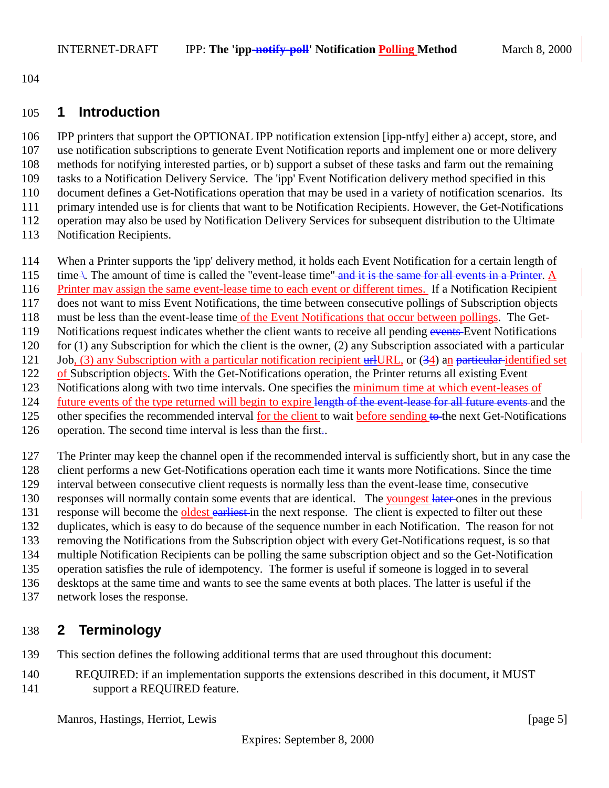<span id="page-4-0"></span>

## **1 Introduction**

 IPP printers that support the OPTIONAL IPP notification extension [ipp-ntfy] either a) accept, store, and use notification subscriptions to generate Event Notification reports and implement one or more delivery methods for notifying interested parties, or b) support a subset of these tasks and farm out the remaining tasks to a Notification Delivery Service. The 'ipp' Event Notification delivery method specified in this document defines a Get-Notifications operation that may be used in a variety of notification scenarios. Its primary intended use is for clients that want to be Notification Recipients. However, the Get-Notifications operation may also be used by Notification Delivery Services for subsequent distribution to the Ultimate Notification Recipients.

- When a Printer supports the 'ipp' delivery method, it holds each Event Notification for a certain length of
- 115 time \. The amount of time is called the "event-lease time" and it is the same for all events in a Printer. A
- 116 Printer may assign the same event-lease time to each event or different times. If a Notification Recipient
- does not want to miss Event Notifications, the time between consecutive pollings of Subscription objects
- must be less than the event-lease time of the Event Notifications that occur between pollings. The Get-
- 119 Notifications request indicates whether the client wants to receive all pending events Event Notifications
- 120 for (1) any Subscription for which the client is the owner, (2) any Subscription associated with a particular
- 121 Job, (3) any Subscription with a particular notification recipient urlURL, or (34) an particular-identified set of Subscription objects. With the Get-Notifications operation, the Printer returns all existing Event
- Notifications along with two time intervals. One specifies the minimum time at which event-leases of
- 124 future events of the type returned will begin to expire length of the event-lease for all future events and the
- 125 other specifies the recommended interval for the client to wait before sending to the next Get-Notifications
- operation. The second time interval is less than the first..
- The Printer may keep the channel open if the recommended interval is sufficiently short, but in any case the client performs a new Get-Notifications operation each time it wants more Notifications. Since the time
- interval between consecutive client requests is normally less than the event-lease time, consecutive responses will normally contain some events that are identical. The youngest later ones in the previous
- 131 response will become the **oldest earliest** in the next response. The client is expected to filter out these
- duplicates, which is easy to do because of the sequence number in each Notification. The reason for not
- removing the Notifications from the Subscription object with every Get-Notifications request, is so that
- multiple Notification Recipients can be polling the same subscription object and so the Get-Notification
- operation satisfies the rule of idempotency. The former is useful if someone is logged in to several
- desktops at the same time and wants to see the same events at both places. The latter is useful if the
- network loses the response.

# **2 Terminology**

- This section defines the following additional terms that are used throughout this document:
- REQUIRED: if an implementation supports the extensions described in this document, it MUST support a REQUIRED feature.

Manros, Hastings, Herriot, Lewis [page 5]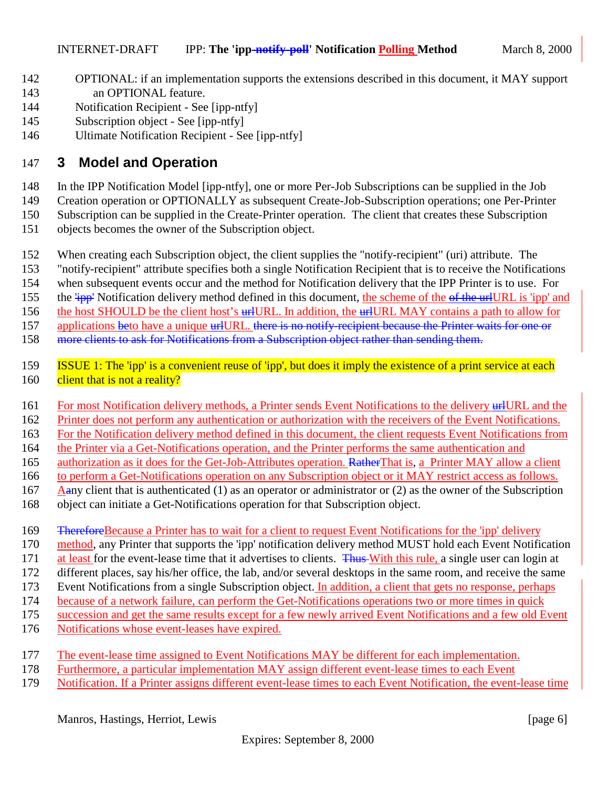- <span id="page-5-0"></span> OPTIONAL: if an implementation supports the extensions described in this document, it MAY support an OPTIONAL feature.
- Notification Recipient See [ipp-ntfy]
- Subscription object See [ipp-ntfy]
- Ultimate Notification Recipient See [ipp-ntfy]

# **3 Model and Operation**

In the IPP Notification Model [ipp-ntfy], one or more Per-Job Subscriptions can be supplied in the Job

Creation operation or OPTIONALLY as subsequent Create-Job-Subscription operations; one Per-Printer

Subscription can be supplied in the Create-Printer operation. The client that creates these Subscription

- objects becomes the owner of the Subscription object.
- When creating each Subscription object, the client supplies the "notify-recipient" (uri) attribute. The
- "notify-recipient" attribute specifies both a single Notification Recipient that is to receive the Notifications
- when subsequent events occur and the method for Notification delivery that the IPP Printer is to use. For
- 155 the  $\frac{1}{1}$  Notification delivery method defined in this document, the scheme of the of the urlURL is 'ipp' and
- 156 the host SHOULD be the client host's urlURL. In addition, the urlURL MAY contains a path to allow for
- 157 applications beto have a unique urlURL, there is no notify-recipient because the Printer waits for one or
- 158 more clients to ask for Notifications from a Subscription object rather than sending them.
- **ISSUE 1:** The 'ipp' is a convenient reuse of 'ipp', but does it imply the existence of a print service at each 160 client that is not a reality?
- 161 For most Notification delivery methods, a Printer sends Event Notifications to the delivery urlURL and the
- Printer does not perform any authentication or authorization with the receivers of the Event Notifications.
- For the Notification delivery method defined in this document, the client requests Event Notifications from
- the Printer via a Get-Notifications operation, and the Printer performs the same authentication and
- 165 authorization as it does for the Get-Job-Attributes operation. RatherThat is, a Printer MAY allow a client
- to perform a Get-Notifications operation on any Subscription object or it MAY restrict access as follows.
- 167 Aany client that is authenticated (1) as an operator or administrator or (2) as the owner of the Subscription object can initiate a Get-Notifications operation for that Subscription object.
- 169 <del>Therefore</del>Because a Printer has to wait for a client to request Event Notifications for the 'ipp' delivery
- method, any Printer that supports the 'ipp' notification delivery method MUST hold each Event Notification
- 171 at least for the event-lease time that it advertises to clients. Thus With this rule, a single user can login at
- different places, say his/her office, the lab, and/or several desktops in the same room, and receive the same
- Event Notifications from a single Subscription object. In addition, a client that gets no response, perhaps
- because of a network failure, can perform the Get-Notifications operations two or more times in quick
- succession and get the same results except for a few newly arrived Event Notifications and a few old Event
- Notifications whose event-leases have expired.
- 177 The event-lease time assigned to Event Notifications MAY be different for each implementation.
- Furthermore, a particular implementation MAY assign different event-lease times to each Event
- Notification. If a Printer assigns different event-lease times to each Event Notification, the event-lease time

Manros, Hastings, Herriot, Lewis [page 6]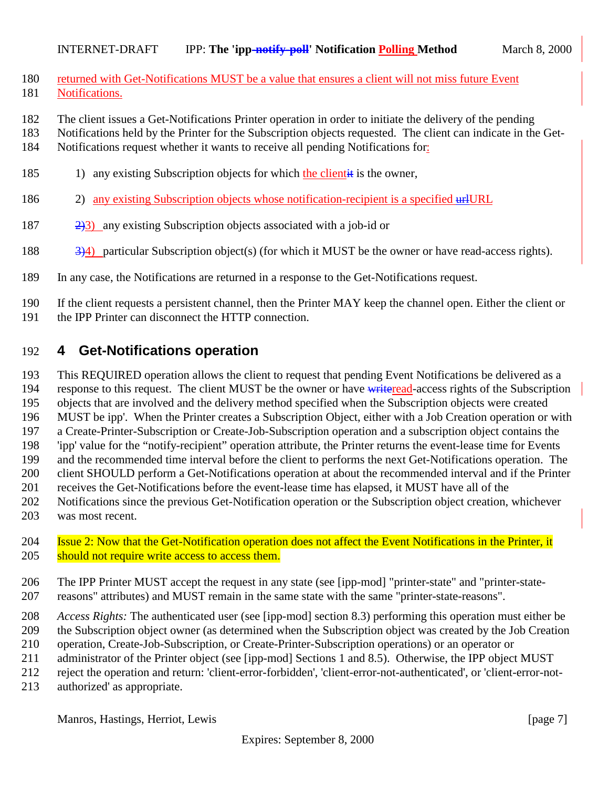- <span id="page-6-0"></span>180 returned with Get-Notifications MUST be a value that ensures a client will not miss future Event Notifications.
- The client issues a Get-Notifications Printer operation in order to initiate the delivery of the pending
- Notifications held by the Printer for the Subscription objects requested. The client can indicate in the Get-
- Notifications request whether it wants to receive all pending Notifications for:
- 185 1) any existing Subscription objects for which the clientit is the owner,
- 186 2) any existing Subscription objects whose notification-recipient is a specified urlURL
- 2)3) any existing Subscription objects associated with a job-id or
- 188 334) particular Subscription object(s) (for which it MUST be the owner or have read-access rights).
- In any case, the Notifications are returned in a response to the Get-Notifications request.

 If the client requests a persistent channel, then the Printer MAY keep the channel open. Either the client or the IPP Printer can disconnect the HTTP connection.

# **4 Get-Notifications operation**

This REQUIRED operation allows the client to request that pending Event Notifications be delivered as a

194 response to this request. The client MUST be the owner or have write read-access rights of the Subscription

 objects that are involved and the delivery method specified when the Subscription objects were created MUST be ipp'. When the Printer creates a Subscription Object, either with a Job Creation operation or with

- a Create-Printer-Subscription or Create-Job-Subscription operation and a subscription object contains the
- 'ipp' value for the "notify-recipient" operation attribute, the Printer returns the event-lease time for Events
- and the recommended time interval before the client to performs the next Get-Notifications operation. The
- client SHOULD perform a Get-Notifications operation at about the recommended interval and if the Printer
- receives the Get-Notifications before the event-lease time has elapsed, it MUST have all of the
- Notifications since the previous Get-Notification operation or the Subscription object creation, whichever
- was most recent.
- 204 Issue 2: Now that the Get-Notification operation does not affect the Event Notifications in the Printer, it should not require write access to access them.
- The IPP Printer MUST accept the request in any state (see [ipp-mod] "printer-state" and "printer-state-reasons" attributes) and MUST remain in the same state with the same "printer-state-reasons".
- *Access Rights:* The authenticated user (see [ipp-mod] section 8.3) performing this operation must either be the Subscription object owner (as determined when the Subscription object was created by the Job Creation
- operation, Create-Job-Subscription, or Create-Printer-Subscription operations) or an operator or
- 211 administrator of the Printer object (see [ipp-mod] Sections 1 and 8.5). Otherwise, the IPP object MUST
- reject the operation and return: 'client-error-forbidden', 'client-error-not-authenticated', or 'client-error-not-
- authorized' as appropriate.

Manros, Hastings, Herriot, Lewis [page 7]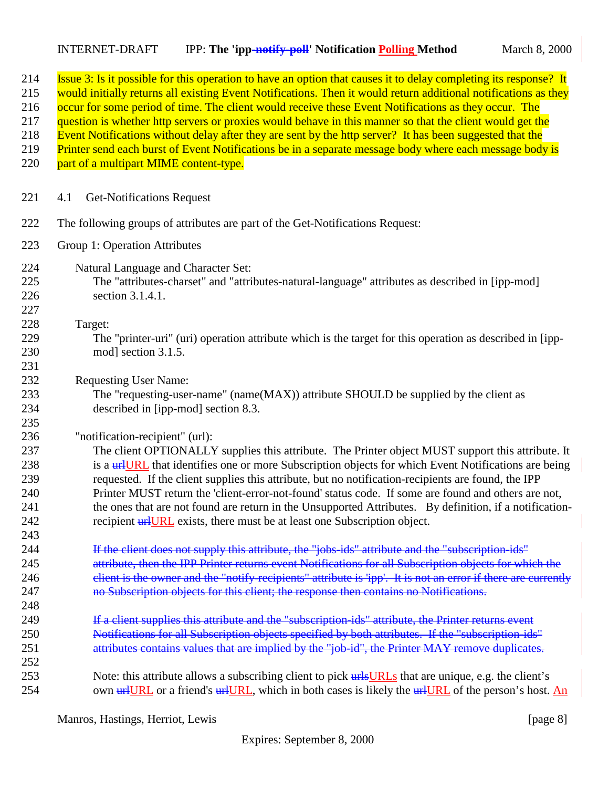## <span id="page-7-0"></span>INTERNET-DRAFT IPP: **The 'ipp-notify-poll' Notification Polling Method** March 8, 2000

| 214<br>215<br>216<br>217<br>218<br>219<br>220        | Issue 3: Is it possible for this operation to have an option that causes it to delay completing its response? It<br>would initially returns all existing Event Notifications. Then it would return additional notifications as they<br>occur for some period of time. The client would receive these Event Notifications as they occur. The<br>question is whether http servers or proxies would behave in this manner so that the client would get the<br>Event Notifications without delay after they are sent by the http server? It has been suggested that the<br>Printer send each burst of Event Notifications be in a separate message body where each message body is<br>part of a multipart MIME content-type. |
|------------------------------------------------------|--------------------------------------------------------------------------------------------------------------------------------------------------------------------------------------------------------------------------------------------------------------------------------------------------------------------------------------------------------------------------------------------------------------------------------------------------------------------------------------------------------------------------------------------------------------------------------------------------------------------------------------------------------------------------------------------------------------------------|
| 221                                                  | <b>Get-Notifications Request</b><br>4.1                                                                                                                                                                                                                                                                                                                                                                                                                                                                                                                                                                                                                                                                                  |
| 222                                                  | The following groups of attributes are part of the Get-Notifications Request:                                                                                                                                                                                                                                                                                                                                                                                                                                                                                                                                                                                                                                            |
| 223                                                  | Group 1: Operation Attributes                                                                                                                                                                                                                                                                                                                                                                                                                                                                                                                                                                                                                                                                                            |
| 224<br>225<br>226<br>227                             | Natural Language and Character Set:<br>The "attributes-charset" and "attributes-natural-language" attributes as described in [ipp-mod]<br>section 3.1.4.1.                                                                                                                                                                                                                                                                                                                                                                                                                                                                                                                                                               |
| 228<br>229<br>230<br>231                             | Target:<br>The "printer-uri" (uri) operation attribute which is the target for this operation as described in [ipp-<br>mod] section 3.1.5.                                                                                                                                                                                                                                                                                                                                                                                                                                                                                                                                                                               |
| 232<br>233<br>234<br>235                             | <b>Requesting User Name:</b><br>The "requesting-user-name" (name(MAX)) attribute SHOULD be supplied by the client as<br>described in [ipp-mod] section 8.3.                                                                                                                                                                                                                                                                                                                                                                                                                                                                                                                                                              |
| 236<br>237<br>238<br>239<br>240<br>241<br>242<br>243 | "notification-recipient" (url):<br>The client OPTIONALLY supplies this attribute. The Printer object MUST support this attribute. It<br>is a <b>urilum text</b> that identifies one or more Subscription objects for which Event Notifications are being<br>requested. If the client supplies this attribute, but no notification-recipients are found, the IPP<br>Printer MUST return the 'client-error-not-found' status code. If some are found and others are not,<br>the ones that are not found are return in the Unsupported Attributes. By definition, if a notification-<br>recipient <b>unlURL</b> exists, there must be at least one Subscription object.                                                     |
| 244<br>245<br>246<br>247<br>248                      | If the client does not supply this attribute, the "jobs-ids" attribute and the "subscription-ids"<br>attribute, then the IPP Printer returns event Notifications for all Subscription objects for which the<br>elient is the owner and the "notify-recipients" attribute is 'ipp'. It is not an error if there are currently<br>no Subscription objects for this client; the response then contains no Notifications.                                                                                                                                                                                                                                                                                                    |
| 249<br>250<br>251<br>252                             | If a client supplies this attribute and the "subscription-ids" attribute, the Printer returns event<br>Notifications for all Subscription objects specified by both attributes. If the "subscription-ids"<br>attributes contains values that are implied by the "job-id", the Printer MAY remove duplicates.                                                                                                                                                                                                                                                                                                                                                                                                             |
| 253<br>254                                           | Note: this attribute allows a subscribing client to pick <b>urls URLs</b> that are unique, e.g. the client's<br>own university or a friend's university which in both cases is likely the university of the person's host. An                                                                                                                                                                                                                                                                                                                                                                                                                                                                                            |

Manros, Hastings, Herriot, Lewis [page 8]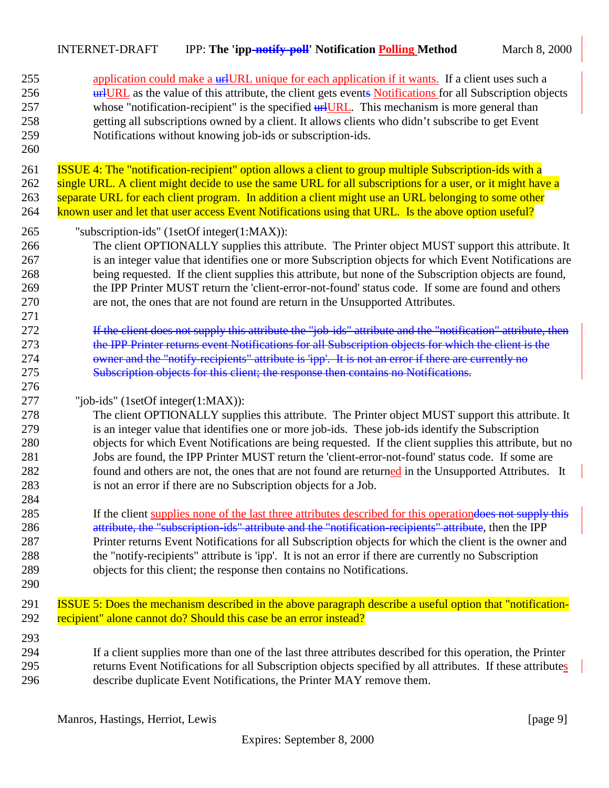| 255<br>256<br>257<br>258<br>259<br>260               | application could make a wHURL unique for each application if it wants. If a client uses such a<br><b>urlugarity</b> as the value of this attribute, the client gets events <b>Notifications</b> for all Subscription objects<br>whose "notification-recipient" is the specified <b>uriluant</b> . This mechanism is more general than<br>getting all subscriptions owned by a client. It allows clients who didn't subscribe to get Event<br>Notifications without knowing job-ids or subscription-ids.                                                                                                                                   |
|------------------------------------------------------|--------------------------------------------------------------------------------------------------------------------------------------------------------------------------------------------------------------------------------------------------------------------------------------------------------------------------------------------------------------------------------------------------------------------------------------------------------------------------------------------------------------------------------------------------------------------------------------------------------------------------------------------|
| 261<br>262<br>263<br>264                             | <b>ISSUE 4:</b> The "notification-recipient" option allows a client to group multiple Subscription-ids with a<br>single URL. A client might decide to use the same URL for all subscriptions for a user, or it might have a<br>separate URL for each client program. In addition a client might use an URL belonging to some other<br>known user and let that user access Event Notifications using that URL. Is the above option useful?                                                                                                                                                                                                  |
| 265<br>266<br>267<br>268<br>269<br>270<br>271        | "subscription-ids" (1setOf integer(1:MAX)):<br>The client OPTIONALLY supplies this attribute. The Printer object MUST support this attribute. It<br>is an integer value that identifies one or more Subscription objects for which Event Notifications are<br>being requested. If the client supplies this attribute, but none of the Subscription objects are found,<br>the IPP Printer MUST return the 'client-error-not-found' status code. If some are found and others<br>are not, the ones that are not found are return in the Unsupported Attributes.                                                                              |
| 272<br>273<br>274<br>275<br>276                      | If the client does not supply this attribute the "job-ids" attribute and the "notification" attribute, then<br>the IPP Printer returns event Notifications for all Subscription objects for which the client is the<br>owner and the "notify-recipients" attribute is 'ipp'. It is not an error if there are currently no<br>Subscription objects for this client; the response then contains no Notifications.                                                                                                                                                                                                                            |
| 277<br>278<br>279<br>280<br>281<br>282<br>283<br>284 | "job-ids" $(1setOf integer(1:MAX))$ :<br>The client OPTIONALLY supplies this attribute. The Printer object MUST support this attribute. It<br>is an integer value that identifies one or more job-ids. These job-ids identify the Subscription<br>objects for which Event Notifications are being requested. If the client supplies this attribute, but no<br>Jobs are found, the IPP Printer MUST return the 'client-error-not-found' status code. If some are<br>found and others are not, the ones that are not found are returned in the Unsupported Attributes. It<br>is not an error if there are no Subscription objects for a Job. |
| 285<br>286<br>287<br>288<br>289<br>290               | If the client supplies none of the last three attributes described for this operation does not supply this<br>attribute, the "subscription-ids" attribute and the "notification-recipients" attribute, then the IPP<br>Printer returns Event Notifications for all Subscription objects for which the client is the owner and<br>the "notify-recipients" attribute is 'ipp'. It is not an error if there are currently no Subscription<br>objects for this client; the response then contains no Notifications.                                                                                                                            |
| 291<br>292                                           | <b>ISSUE 5:</b> Does the mechanism described in the above paragraph describe a useful option that "notification-<br>recipient" alone cannot do? Should this case be an error instead?                                                                                                                                                                                                                                                                                                                                                                                                                                                      |
| 293<br>294<br>295<br>296                             | If a client supplies more than one of the last three attributes described for this operation, the Printer<br>returns Event Notifications for all Subscription objects specified by all attributes. If these attributes<br>describe duplicate Event Notifications, the Printer MAY remove them.                                                                                                                                                                                                                                                                                                                                             |

Manros, Hastings, Herriot, Lewis [page 9]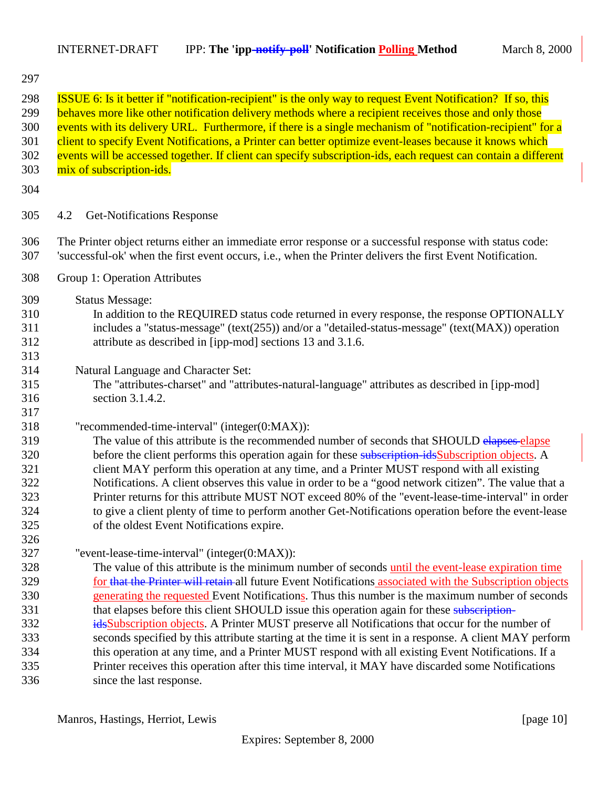<span id="page-9-0"></span>

|                                                                    | <b>INTERNET-DRAFT</b><br>IPP: The 'ipp-notify-poll' Notification Polling Method                                                                                                                                                                                                                                                                                                                                                                                                                                                                                                                                                                                                                                                                                                                                                                                                                                       | March 8, 2000 |
|--------------------------------------------------------------------|-----------------------------------------------------------------------------------------------------------------------------------------------------------------------------------------------------------------------------------------------------------------------------------------------------------------------------------------------------------------------------------------------------------------------------------------------------------------------------------------------------------------------------------------------------------------------------------------------------------------------------------------------------------------------------------------------------------------------------------------------------------------------------------------------------------------------------------------------------------------------------------------------------------------------|---------------|
| 297                                                                |                                                                                                                                                                                                                                                                                                                                                                                                                                                                                                                                                                                                                                                                                                                                                                                                                                                                                                                       |               |
| 298<br>299<br>300<br>301<br>302<br>303                             | <b>ISSUE 6:</b> Is it better if "notification-recipient" is the only way to request Event Notification? If so, this<br>behaves more like other notification delivery methods where a recipient receives those and only those<br>events with its delivery URL. Furthermore, if there is a single mechanism of "notification-recipient" for a<br>client to specify Event Notifications, a Printer can better optimize event-leases because it knows which<br>events will be accessed together. If client can specify subscription-ids, each request can contain a different<br>mix of subscription-ids.                                                                                                                                                                                                                                                                                                                 |               |
| 304                                                                |                                                                                                                                                                                                                                                                                                                                                                                                                                                                                                                                                                                                                                                                                                                                                                                                                                                                                                                       |               |
| 305                                                                | <b>Get-Notifications Response</b><br>4.2                                                                                                                                                                                                                                                                                                                                                                                                                                                                                                                                                                                                                                                                                                                                                                                                                                                                              |               |
| 306<br>307                                                         | The Printer object returns either an immediate error response or a successful response with status code:<br>'successful-ok' when the first event occurs, i.e., when the Printer delivers the first Event Notification.                                                                                                                                                                                                                                                                                                                                                                                                                                                                                                                                                                                                                                                                                                |               |
| 308                                                                | Group 1: Operation Attributes                                                                                                                                                                                                                                                                                                                                                                                                                                                                                                                                                                                                                                                                                                                                                                                                                                                                                         |               |
| 309<br>310<br>311<br>312<br>313                                    | <b>Status Message:</b><br>In addition to the REQUIRED status code returned in every response, the response OPTIONALLY<br>includes a "status-message" (text(255)) and/or a "detailed-status-message" (text(MAX)) operation<br>attribute as described in [ipp-mod] sections 13 and 3.1.6.                                                                                                                                                                                                                                                                                                                                                                                                                                                                                                                                                                                                                               |               |
| 314<br>315<br>316<br>317                                           | Natural Language and Character Set:<br>The "attributes-charset" and "attributes-natural-language" attributes as described in [ipp-mod]<br>section 3.1.4.2.                                                                                                                                                                                                                                                                                                                                                                                                                                                                                                                                                                                                                                                                                                                                                            |               |
| 318<br>319<br>320<br>321<br>322<br>323<br>324<br>325<br>326        | "recommended-time-interval" (integer(0:MAX)):<br>The value of this attribute is the recommended number of seconds that SHOULD elapses elapse<br>before the client performs this operation again for these subscription idsSubscription objects. A<br>client MAY perform this operation at any time, and a Printer MUST respond with all existing<br>Notifications. A client observes this value in order to be a "good network citizen". The value that a<br>Printer returns for this attribute MUST NOT exceed 80% of the "event-lease-time-interval" in order<br>to give a client plenty of time to perform another Get-Notifications operation before the event-lease<br>of the oldest Event Notifications expire.                                                                                                                                                                                                 |               |
| 327<br>328<br>329<br>330<br>331<br>332<br>333<br>334<br>335<br>336 | "event-lease-time-interval" (integer(0:MAX)):<br>The value of this attribute is the minimum number of seconds until the event-lease expiration time<br>for that the Printer will retain-all future Event Notifications associated with the Subscription objects<br>generating the requested Event Notifications. Thus this number is the maximum number of seconds<br>that elapses before this client SHOULD issue this operation again for these subscription-<br>idsSubscription objects. A Printer MUST preserve all Notifications that occur for the number of<br>seconds specified by this attribute starting at the time it is sent in a response. A client MAY perform<br>this operation at any time, and a Printer MUST respond with all existing Event Notifications. If a<br>Printer receives this operation after this time interval, it MAY have discarded some Notifications<br>since the last response. |               |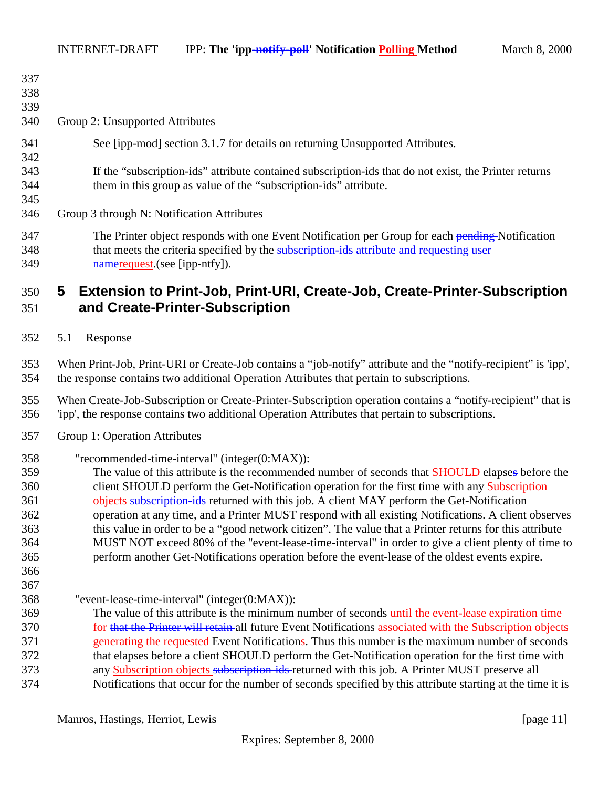<span id="page-10-0"></span>

| Group 2: Unsupported Attributes                                                                       |
|-------------------------------------------------------------------------------------------------------|
| See [ipp-mod] section 3.1.7 for details on returning Unsupported Attributes.                          |
|                                                                                                       |
| If the "subscription-ids" attribute contained subscription-ids that do not exist, the Printer returns |
| them in this group as value of the "subscription-ids" attribute.                                      |
|                                                                                                       |
| Group 3 through N: Notification Attributes                                                            |
| The Printer object responds with one Event Notification per Group for each pending-Notification       |
| that meets the criteria specified by the subscription ids attribute and requesting user               |
| nameroquest (see [ipp-ntfy]).                                                                         |
| <b>Extension to Print-Job, Print-URI, Create-Job, Create-Printer-Subscription</b><br>5                |
|                                                                                                       |

- **and Create-Printer-Subscription**
- 5.1 Response

 When Print-Job, Print-URI or Create-Job contains a "job-notify" attribute and the "notify-recipient" is 'ipp', the response contains two additional Operation Attributes that pertain to subscriptions.

 When Create-Job-Subscription or Create-Printer-Subscription operation contains a "notify-recipient" that is 'ipp', the response contains two additional Operation Attributes that pertain to subscriptions.

- Group 1: Operation Attributes
- "recommended-time-interval" (integer(0:MAX)):

 The value of this attribute is the recommended number of seconds that SHOULD elapses before the client SHOULD perform the Get-Notification operation for the first time with any Subscription 361 objects subscription-ids-returned with this job. A client MAY perform the Get-Notification operation at any time, and a Printer MUST respond with all existing Notifications. A client observes this value in order to be a "good network citizen". The value that a Printer returns for this attribute MUST NOT exceed 80% of the "event-lease-time-interval" in order to give a client plenty of time to perform another Get-Notifications operation before the event-lease of the oldest events expire. 

"event-lease-time-interval" (integer(0:MAX)):

 The value of this attribute is the minimum number of seconds until the event-lease expiration time 370 for that the Printer will retain all future Event Notifications associated with the Subscription objects generating the requested Event Notifications. Thus this number is the maximum number of seconds that elapses before a client SHOULD perform the Get-Notification operation for the first time with 373 any Subscription objects subscription-ids-returned with this job. A Printer MUST preserve all Notifications that occur for the number of seconds specified by this attribute starting at the time it is

Manros, Hastings, Herriot, Lewis [page 11] [page 11]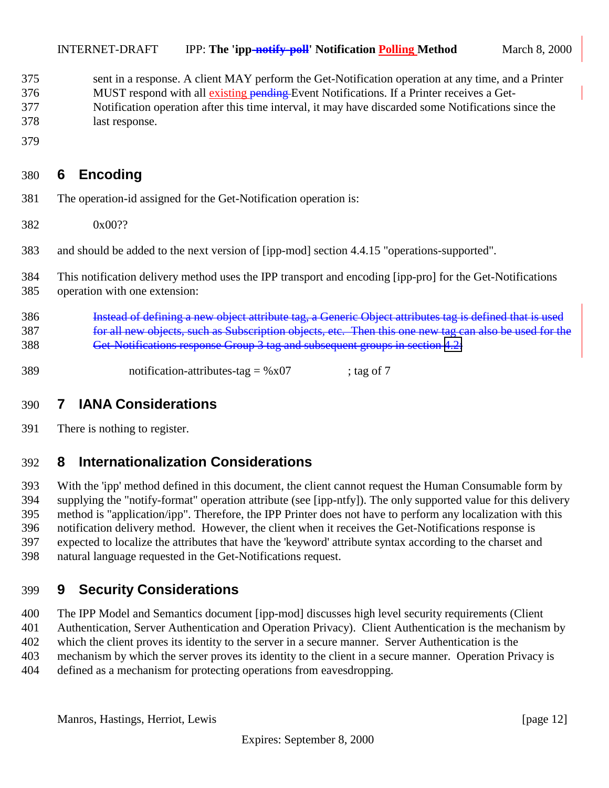<span id="page-11-0"></span>

| 375 | sent in a response. A client MAY perform the Get-Notification operation at any time, and a Printer  |
|-----|-----------------------------------------------------------------------------------------------------|
| 376 | MUST respond with all existing pending-Event Notifications. If a Printer receives a Get-            |
| 377 | Notification operation after this time interval, it may have discarded some Notifications since the |
| 378 | last response.                                                                                      |

# **6 Encoding**

- The operation-id assigned for the Get-Notification operation is:
- 0x00??
- and should be added to the next version of [ipp-mod] section 4.4.15 "operations-supported".
- This notification delivery method uses the IPP transport and encoding [ipp-pro] for the Get-Notifications operation with one extension:
- Instead of defining a new object attribute tag, a Generic Object attributes tag is defined that is used for all new objects, such as Subscription objects, etc. Then this one new tag can also be used for the Get-Notifications response Group 3 tag and subsequent groups in section [4.2:](#page-9-0)
- 389 notification-attributes-tag =  $%x07$  ; tag of 7

## **7 IANA Considerations**

There is nothing to register.

#### **8 Internationalization Considerations**

 With the 'ipp' method defined in this document, the client cannot request the Human Consumable form by supplying the "notify-format" operation attribute (see [ipp-ntfy]). The only supported value for this delivery method is "application/ipp". Therefore, the IPP Printer does not have to perform any localization with this notification delivery method. However, the client when it receives the Get-Notifications response is expected to localize the attributes that have the 'keyword' attribute syntax according to the charset and natural language requested in the Get-Notifications request.

## **9 Security Considerations**

 The IPP Model and Semantics document [ipp-mod] discusses high level security requirements (Client Authentication, Server Authentication and Operation Privacy). Client Authentication is the mechanism by which the client proves its identity to the server in a secure manner. Server Authentication is the mechanism by which the server proves its identity to the client in a secure manner. Operation Privacy is defined as a mechanism for protecting operations from eavesdropping.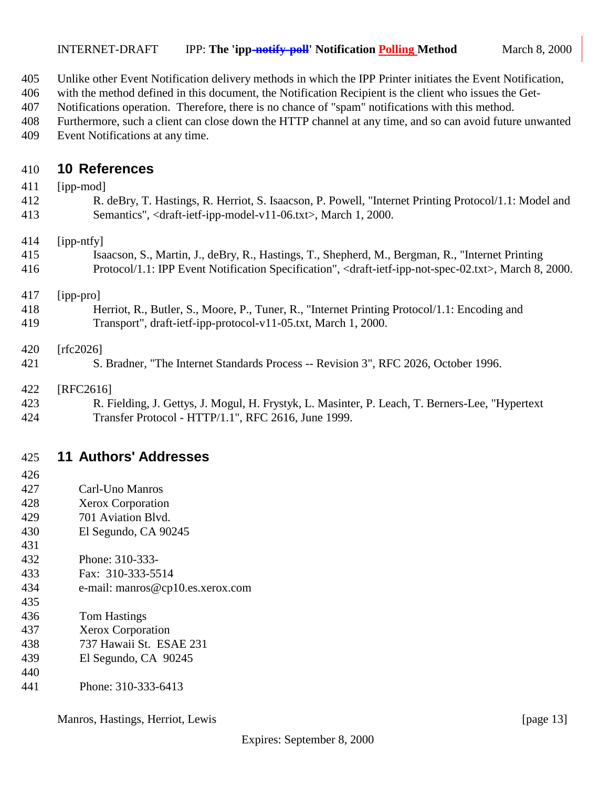- <span id="page-12-0"></span>Unlike other Event Notification delivery methods in which the IPP Printer initiates the Event Notification,
- with the method defined in this document, the Notification Recipient is the client who issues the Get-
- Notifications operation. Therefore, there is no chance of "spam" notifications with this method.
- Furthermore, such a client can close down the HTTP channel at any time, and so can avoid future unwanted Event Notifications at any time.

#### **10 References**

| 411 | [ipp-mod]                                                                                                                              |
|-----|----------------------------------------------------------------------------------------------------------------------------------------|
| 412 | R. deBry, T. Hastings, R. Herriot, S. Isaacson, P. Powell, "Internet Printing Protocol/1.1: Model and                                  |
| 413 | Semantics", <draft-ietf-ipp-model-v11-06.txt>, March 1, 2000.</draft-ietf-ipp-model-v11-06.txt>                                        |
| 414 | [ipp-ntfy]                                                                                                                             |
| 415 | Isaacson, S., Martin, J., deBry, R., Hastings, T., Shepherd, M., Bergman, R., "Internet Printing                                       |
| 416 | Protocol/1.1: IPP Event Notification Specification", <draft-ietf-ipp-not-spec-02.txt>, March 8, 2000.</draft-ietf-ipp-not-spec-02.txt> |
| 417 | [ipp-pro]                                                                                                                              |
| 418 | Herriot, R., Butler, S., Moore, P., Tuner, R., "Internet Printing Protocol/1.1: Encoding and                                           |
| 419 | Transport", draft-ietf-ipp-protocol-v11-05.txt, March 1, 2000.                                                                         |
| 420 | [rfc2026]                                                                                                                              |
| 421 | S. Bradner, "The Internet Standards Process -- Revision 3", RFC 2026, October 1996.                                                    |
| 422 | [RFC2616]                                                                                                                              |
| 423 | R. Fielding, J. Gettys, J. Mogul, H. Frystyk, L. Masinter, P. Leach, T. Berners-Lee, "Hypertext"                                       |
| 424 | Transfer Protocol - HTTP/1.1", RFC 2616, June 1999.                                                                                    |
| 425 | <b>11 Authors' Addresses</b>                                                                                                           |
| 426 |                                                                                                                                        |
| 427 | Carl-Uno Manros                                                                                                                        |
| 428 | Xerox Corporation                                                                                                                      |
| 429 | 701 Aviation Blvd.                                                                                                                     |

- El Segundo, CA 90245
- 

- Phone: 310-333-
- Fax: 310-333-5514
- e-mail: manros@cp10.es.xerox.com
- Tom Hastings
- Xerox Corporation
- 737 Hawaii St. ESAE 231
- El Segundo, CA 90245
- Phone: 310-333-6413

Manros, Hastings, Herriot, Lewis [page 13]